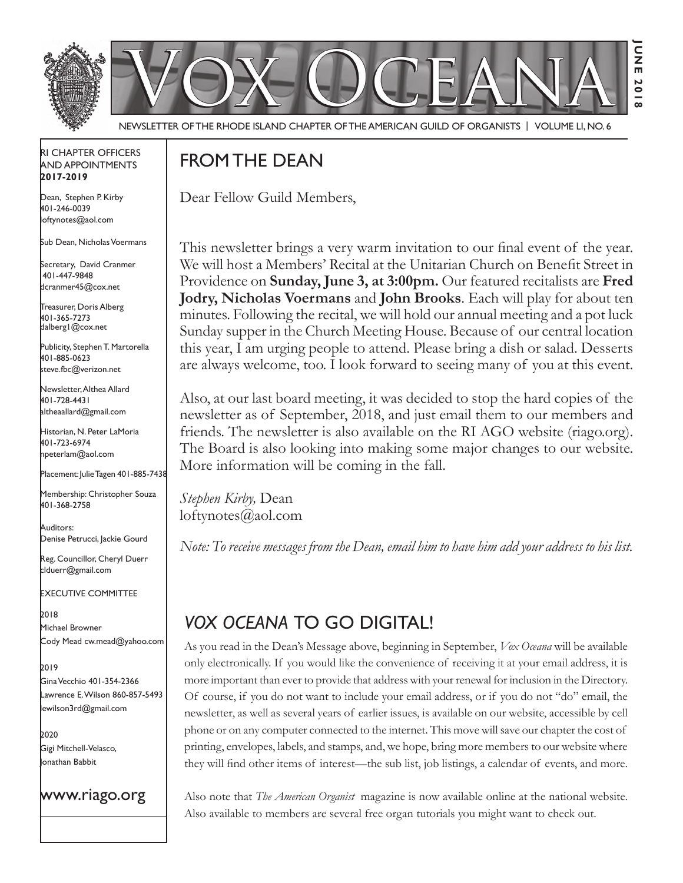

Newsletter of the Rhode Island Chapter of the American Guild of OrganistS | Volume LI, No. 6

### RI Chapter Officers and Appointments **2017-2019**

Dean, Stephen P. Kirby 401-246-0039 loftynotes@aol.com

Sub Dean, Nicholas Voermans

Secretary, David Cranmer 401-447-9848 dcranmer45@cox.net

Treasurer, Doris Alberg 401-365-7273 dalberg1@cox.net

I Publicity, Stephen T. Martorella 401-885-0623 steve.fbc@verizon.net

Newsletter, Althea Allard 401-728-4431 altheaallard@gmail.com

Historian, N. Peter LaMoria 401-723-6974 npeterlam@aol.com

Placement: Julie Tagen 401-885-7438

Membership: Christopher Souza 401-368-2758

Auditors: Denise Petrucci, Jackie Gourd

Reg. Councillor, Cheryl Duerr clduerr@gmail.com

Executive Committee

2018 Michael Browner Cody Mead cw.mead@yahoo.com

2019

Gina Vecchio 401-354-2366 Lawrence E. Wilson 860-857-5493 lewilson3rd@gmail.com

2020 Gigi Mitchell-Velasco, Jonathan Babbit

www.riago.org

# FROM THE DEAN

Dear Fellow Guild Members,

This newsletter brings a very warm invitation to our final event of the year. We will host a Members' Recital at the Unitarian Church on Benefit Street in Providence on **Sunday, June 3, at 3:00pm.** Our featured recitalists are **Fred Jodry, Nicholas Voermans** and **John Brooks**. Each will play for about ten minutes. Following the recital, we will hold our annual meeting and a pot luck Sunday supper in the Church Meeting House. Because of our central location this year, I am urging people to attend. Please bring a dish or salad. Desserts are always welcome, too. I look forward to seeing many of you at this event.

Also, at our last board meeting, it was decided to stop the hard copies of the newsletter as of September, 2018, and just email them to our members and friends. The newsletter is also available on the RI AGO website (riago.org). The Board is also looking into making some major changes to our website. More information will be coming in the fall.

*Stephen Kirby,* Dean loftynotes@aol.com

*Note: To receive messages from the Dean, email him to have him add your address to his list.*

# *Vox Oceana* to go digital!

As you read in the Dean's Message above, beginning in September, *Vox Oceana* will be available only electronically. If you would like the convenience of receiving it at your email address, it is more important than ever to provide that address with your renewal for inclusion in the Directory. Of course, if you do not want to include your email address, or if you do not "do" email, the newsletter, as well as several years of earlier issues, is available on our website, accessible by cell phone or on any computer connected to the internet. This move will save our chapter the cost of printing, envelopes, labels, and stamps, and, we hope, bring more members to our website where they will find other items of interest—the sub list, job listings, a calendar of events, and more.

Also note that *The American Organist* magazine is now available online at the national website. Also available to members are several free organ tutorials you might want to check out.